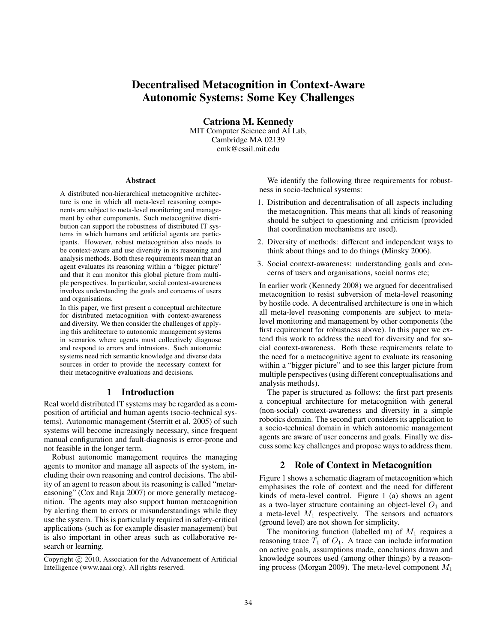# Decentralised Metacognition in Context-Aware Autonomic Systems: Some Key Challenges

Catriona M. Kennedy

MIT Computer Science and AI Lab, Cambridge MA 02139 cmk@csail.mit.edu

#### Abstract

A distributed non-hierarchical metacognitive architecture is one in which all meta-level reasoning components are subject to meta-level monitoring and management by other components. Such metacognitive distribution can support the robustness of distributed IT systems in which humans and artificial agents are participants. However, robust metacognition also needs to be context-aware and use diversity in its reasoning and analysis methods. Both these requirements mean that an agent evaluates its reasoning within a "bigger picture" and that it can monitor this global picture from multiple perspectives. In particular, social context-awareness involves understanding the goals and concerns of users and organisations.

In this paper, we first present a conceptual architecture for distributed metacognition with context-awareness and diversity. We then consider the challenges of applying this architecture to autonomic management systems in scenarios where agents must collectively diagnose and respond to errors and intrusions. Such autonomic systems need rich semantic knowledge and diverse data sources in order to provide the necessary context for their metacognitive evaluations and decisions.

#### 1 Introduction

Real world distributed IT systems may be regarded as a composition of artificial and human agents (socio-technical systems). Autonomic management (Sterritt et al. 2005) of such systems will become increasingly necessary, since frequent manual configuration and fault-diagnosis is error-prone and not feasible in the longer term.

Robust autonomic management requires the managing agents to monitor and manage all aspects of the system, including their own reasoning and control decisions. The ability of an agent to reason about its reasoning is called "metareasoning" (Cox and Raja 2007) or more generally metacognition. The agents may also support human metacognition by alerting them to errors or misunderstandings while they use the system. This is particularly required in safety-critical applications (such as for example disaster management) but is also important in other areas such as collaborative research or learning.

We identify the following three requirements for robustness in socio-technical systems:

- 1. Distribution and decentralisation of all aspects including the metacognition. This means that all kinds of reasoning should be subject to questioning and criticism (provided that coordination mechanisms are used).
- 2. Diversity of methods: different and independent ways to think about things and to do things (Minsky 2006).
- 3. Social context-awareness: understanding goals and concerns of users and organisations, social norms etc;

In earlier work (Kennedy 2008) we argued for decentralised metacognition to resist subversion of meta-level reasoning by hostile code. A decentralised architecture is one in which all meta-level reasoning components are subject to metalevel monitoring and management by other components (the first requirement for robustness above). In this paper we extend this work to address the need for diversity and for social context-awareness. Both these requirements relate to the need for a metacognitive agent to evaluate its reasoning within a "bigger picture" and to see this larger picture from multiple perspectives (using different conceptualisations and analysis methods).

The paper is structured as follows: the first part presents a conceptual architecture for metacognition with general (non-social) context-awareness and diversity in a simple robotics domain. The second part considers its application to a socio-technical domain in which autonomic management agents are aware of user concerns and goals. Finally we discuss some key challenges and propose ways to address them.

#### 2 Role of Context in Metacognition

Figure 1 shows a schematic diagram of metacognition which emphasises the role of context and the need for different kinds of meta-level control. Figure 1 (a) shows an agent as a two-layer structure containing an object-level  $O_1$  and a meta-level  $M_1$  respectively. The sensors and actuators (ground level) are not shown for simplicity.

The monitoring function (labelled m) of  $M_1$  requires a reasoning trace  $T_1$  of  $O_1$ . A trace can include information on active goals, assumptions made, conclusions drawn and knowledge sources used (among other things) by a reasoning process (Morgan 2009). The meta-level component  $M_1$ 

Copyright  $\odot$  2010, Association for the Advancement of Artificial Intelligence (www.aaai.org). All rights reserved.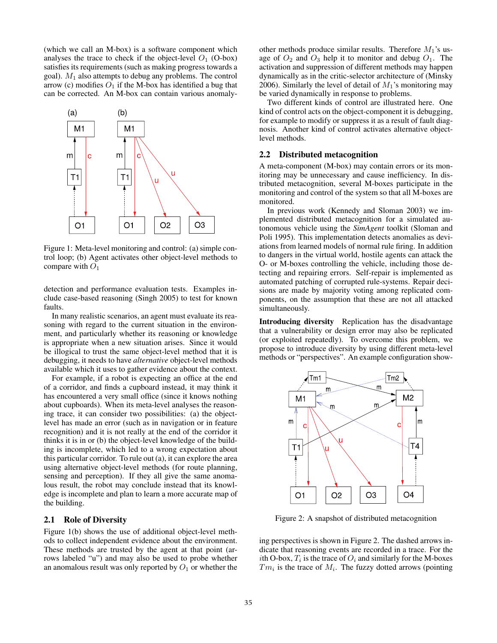(which we call an M-box) is a software component which analyses the trace to check if the object-level  $O_1$  (O-box) satisfies its requirements (such as making progress towards a goal).  $M_1$  also attempts to debug any problems. The control arrow (c) modifies  $O_1$  if the M-box has identified a bug that can be corrected. An M-box can contain various anomaly-



Figure 1: Meta-level monitoring and control: (a) simple control loop; (b) Agent activates other object-level methods to compare with  $O_1$ 

detection and performance evaluation tests. Examples include case-based reasoning (Singh 2005) to test for known faults.

In many realistic scenarios, an agent must evaluate its reasoning with regard to the current situation in the environment, and particularly whether its reasoning or knowledge is appropriate when a new situation arises. Since it would be illogical to trust the same object-level method that it is debugging, it needs to have *alternative* object-level methods available which it uses to gather evidence about the context.

For example, if a robot is expecting an office at the end of a corridor, and finds a cupboard instead, it may think it has encountered a very small office (since it knows nothing about cupboards). When its meta-level analyses the reasoning trace, it can consider two possibilities: (a) the objectlevel has made an error (such as in navigation or in feature recognition) and it is not really at the end of the corridor it thinks it is in or (b) the object-level knowledge of the building is incomplete, which led to a wrong expectation about this particular corridor. To rule out (a), it can explore the area using alternative object-level methods (for route planning, sensing and perception). If they all give the same anomalous result, the robot may conclude instead that its knowledge is incomplete and plan to learn a more accurate map of the building.

## 2.1 Role of Diversity

Figure 1(b) shows the use of additional object-level methods to collect independent evidence about the environment. These methods are trusted by the agent at that point (arrows labeled "u") and may also be used to probe whether an anomalous result was only reported by  $O_1$  or whether the other methods produce similar results. Therefore  $M_1$ 's usage of  $O_2$  and  $O_3$  help it to monitor and debug  $O_1$ . The activation and suppression of different methods may happen dynamically as in the critic-selector architecture of (Minsky 2006). Similarly the level of detail of  $M_1$ 's monitoring may be varied dynamically in response to problems.

Two different kinds of control are illustrated here. One kind of control acts on the object-component it is debugging, for example to modify or suppress it as a result of fault diagnosis. Another kind of control activates alternative objectlevel methods.

#### 2.2 Distributed metacognition

A meta-component (M-box) may contain errors or its monitoring may be unnecessary and cause inefficiency. In distributed metacognition, several M-boxes participate in the monitoring and control of the system so that all M-boxes are monitored.

In previous work (Kennedy and Sloman 2003) we implemented distributed metacognition for a simulated autonomous vehicle using the *SimAgent* toolkit (Sloman and Poli 1995). This implementation detects anomalies as deviations from learned models of normal rule firing. In addition to dangers in the virtual world, hostile agents can attack the O- or M-boxes controlling the vehicle, including those detecting and repairing errors. Self-repair is implemented as automated patching of corrupted rule-systems. Repair decisions are made by majority voting among replicated components, on the assumption that these are not all attacked simultaneously.

Introducing diversity Replication has the disadvantage that a vulnerability or design error may also be replicated (or exploited repeatedly). To overcome this problem, we propose to introduce diversity by using different meta-level methods or "perspectives". An example configuration show-



Figure 2: A snapshot of distributed metacognition

ing perspectives is shown in Figure 2. The dashed arrows indicate that reasoning events are recorded in a trace. For the ith O-box,  $T_i$  is the trace of  $O_i$  and similarly for the M-boxes  $Tm_i$  is the trace of  $M_i$ . The fuzzy dotted arrows (pointing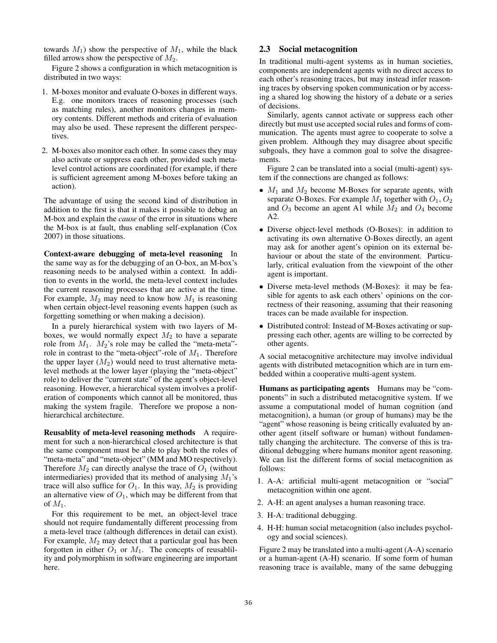towards  $M_1$ ) show the perspective of  $M_1$ , while the black filled arrows show the perspective of  $M_2$ .

Figure 2 shows a configuration in which metacognition is distributed in two ways:

- 1. M-boxes monitor and evaluate O-boxes in different ways. E.g. one monitors traces of reasoning processes (such as matching rules), another monitors changes in memory contents. Different methods and criteria of evaluation may also be used. These represent the different perspectives.
- 2. M-boxes also monitor each other. In some cases they may also activate or suppress each other, provided such metalevel control actions are coordinated (for example, if there is sufficient agreement among M-boxes before taking an action).

The advantage of using the second kind of distribution in addition to the first is that it makes it possible to debug an M-box and explain the *cause* of the error in situations where the M-box is at fault, thus enabling self-explanation (Cox 2007) in those situations.

Context-aware debugging of meta-level reasoning In the same way as for the debugging of an O-box, an M-box's reasoning needs to be analysed within a context. In addition to events in the world, the meta-level context includes the current reasoning processes that are active at the time. For example,  $M_2$  may need to know how  $M_1$  is reasoning when certain object-level reasoning events happen (such as forgetting something or when making a decision).

In a purely hierarchical system with two layers of Mboxes, we would normally expect  $M_2$  to have a separate role from  $M_1$ .  $M_2$ 's role may be called the "meta-meta"role in contrast to the "meta-object"-role of  $M_1$ . Therefore the upper layer  $(M_2)$  would need to trust alternative metalevel methods at the lower layer (playing the "meta-object" role) to deliver the "current state" of the agent's object-level reasoning. However, a hierarchical system involves a proliferation of components which cannot all be monitored, thus making the system fragile. Therefore we propose a nonhierarchical architecture.

Reusablity of meta-level reasoning methods A requirement for such a non-hierarchical closed architecture is that the same component must be able to play both the roles of "meta-meta" and "meta-object" (MM and MO respectively). Therefore  $M_2$  can directly analyse the trace of  $O_1$  (without intermediaries) provided that its method of analysing  $M_1$ 's trace will also suffice for  $O_1$ . In this way,  $M_2$  is providing an alternative view of  $O_1$ , which may be different from that of  $M_1$ .

For this requirement to be met, an object-level trace should not require fundamentally different processing from a meta-level trace (although differences in detail can exist). For example,  $M_2$  may detect that a particular goal has been forgotten in either  $O_1$  or  $M_1$ . The concepts of reusablility and polymorphism in software engineering are important here.

## 2.3 Social metacognition

In traditional multi-agent systems as in human societies, components are independent agents with no direct access to each other's reasoning traces, but may instead infer reasoning traces by observing spoken communication or by accessing a shared log showing the history of a debate or a series of decisions.

Similarly, agents cannot activate or suppress each other directly but must use accepted social rules and forms of communication. The agents must agree to cooperate to solve a given problem. Although they may disagree about specific subgoals, they have a common goal to solve the disagreements.

Figure 2 can be translated into a social (multi-agent) system if the connections are changed as follows:

- $M_1$  and  $M_2$  become M-Boxes for separate agents, with separate O-Boxes. For example  $M_1$  together with  $O_1$ ,  $O_2$ and  $O_3$  become an agent A1 while  $M_2$  and  $O_4$  become A2.
- Diverse object-level methods (O-Boxes): in addition to activating its own alternative O-Boxes directly, an agent may ask for another agent's opinion on its external behaviour or about the state of the environment. Particularly, critical evaluation from the viewpoint of the other agent is important.
- Diverse meta-level methods (M-Boxes): it may be feasible for agents to ask each others' opinions on the correctness of their reasoning, assuming that their reasoning traces can be made available for inspection.
- Distributed control: Instead of M-Boxes activating or suppressing each other, agents are willing to be corrected by other agents.

A social metacognitive architecture may involve individual agents with distributed metacognition which are in turn embedded within a cooperative multi-agent system.

Humans as participating agents Humans may be "components" in such a distributed metacognitive system. If we assume a computational model of human cognition (and metacognition), a human (or group of humans) may be the "agent" whose reasoning is being critically evaluated by another agent (itself software or human) without fundamentally changing the architecture. The converse of this is traditional debugging where humans monitor agent reasoning. We can list the different forms of social metacognition as follows:

- 1. A-A: artificial multi-agent metacognition or "social" metacognition within one agent.
- 2. A-H: an agent analyses a human reasoning trace.
- 3. H-A: traditional debugging.
- 4. H-H: human social metacognition (also includes psychology and social sciences).

Figure 2 may be translated into a multi-agent (A-A) scenario or a human-agent (A-H) scenario. If some form of human reasoning trace is available, many of the same debugging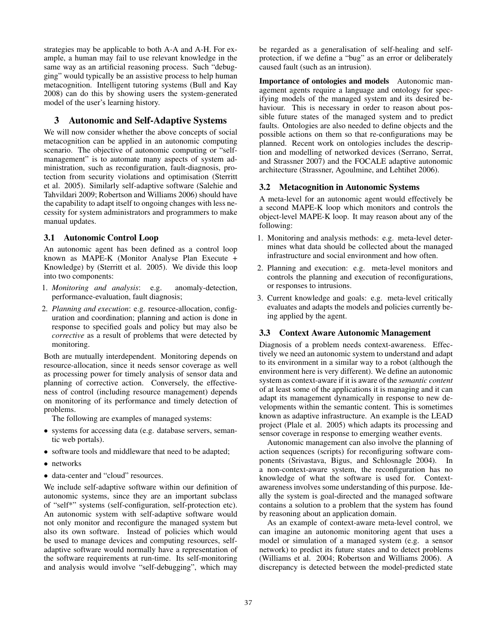strategies may be applicable to both A-A and A-H. For example, a human may fail to use relevant knowledge in the same way as an artificial reasoning process. Such "debugging" would typically be an assistive process to help human metacognition. Intelligent tutoring systems (Bull and Kay 2008) can do this by showing users the system-generated model of the user's learning history.

## 3 Autonomic and Self-Adaptive Systems

We will now consider whether the above concepts of social metacognition can be applied in an autonomic computing scenario. The objective of autonomic computing or "selfmanagement" is to automate many aspects of system administration, such as reconfiguration, fault-diagnosis, protection from security violations and optimisation (Sterritt et al. 2005). Similarly self-adaptive software (Salehie and Tahvildari 2009; Robertson and Williams 2006) should have the capability to adapt itself to ongoing changes with less necessity for system administrators and programmers to make manual updates.

## 3.1 Autonomic Control Loop

An autonomic agent has been defined as a control loop known as MAPE-K (Monitor Analyse Plan Execute + Knowledge) by (Sterritt et al. 2005). We divide this loop into two components:

- 1. *Monitoring and analysis*: e.g. anomaly-detection, performance-evaluation, fault diagnosis;
- 2. *Planning and execution*: e.g. resource-allocation, configuration and coordination; planning and action is done in response to specified goals and policy but may also be *corrective* as a result of problems that were detected by monitoring.

Both are mutually interdependent. Monitoring depends on resource-allocation, since it needs sensor coverage as well as processing power for timely analysis of sensor data and planning of corrective action. Conversely, the effectiveness of control (including resource management) depends on monitoring of its performance and timely detection of problems.

The following are examples of managed systems:

- systems for accessing data (e.g. database servers, semantic web portals).
- software tools and middleware that need to be adapted;
- networks
- data-center and "cloud" resources.

We include self-adaptive software within our definition of autonomic systems, since they are an important subclass of "self\*" systems (self-configuration, self-protection etc). An autonomic system with self-adaptive software would not only monitor and reconfigure the managed system but also its own software. Instead of policies which would be used to manage devices and computing resources, selfadaptive software would normally have a representation of the software requirements at run-time. Its self-monitoring and analysis would involve "self-debugging", which may

be regarded as a generalisation of self-healing and selfprotection, if we define a "bug" as an error or deliberately caused fault (such as an intrusion).

Importance of ontologies and models Autonomic management agents require a language and ontology for specifying models of the managed system and its desired behaviour. This is necessary in order to reason about possible future states of the managed system and to predict faults. Ontologies are also needed to define objects and the possible actions on them so that re-configurations may be planned. Recent work on ontologies includes the description and modelling of networked devices (Serrano, Serrat, and Strassner 2007) and the FOCALE adaptive autonomic architecture (Strassner, Agoulmine, and Lehtihet 2006).

#### 3.2 Metacognition in Autonomic Systems

A meta-level for an autonomic agent would effectively be a second MAPE-K loop which monitors and controls the object-level MAPE-K loop. It may reason about any of the following:

- 1. Monitoring and analysis methods: e.g. meta-level determines what data should be collected about the managed infrastructure and social environment and how often.
- 2. Planning and execution: e.g. meta-level monitors and controls the planning and execution of reconfigurations, or responses to intrusions.
- 3. Current knowledge and goals: e.g. meta-level critically evaluates and adapts the models and policies currently being applied by the agent.

#### 3.3 Context Aware Autonomic Management

Diagnosis of a problem needs context-awareness. Effectively we need an autonomic system to understand and adapt to its environment in a similar way to a robot (although the environment here is very different). We define an autonomic system as context-aware if it is aware of the *semantic content* of at least some of the applications it is managing and it can adapt its management dynamically in response to new developments within the semantic content. This is sometimes known as adaptive infrastructure. An example is the LEAD project (Plale et al. 2005) which adapts its processing and sensor coverage in response to emerging weather events.

Autonomic management can also involve the planning of action sequences (scripts) for reconfiguring software components (Srivastava, Bigus, and Schlosnagle 2004). In a non-context-aware system, the reconfiguration has no knowledge of what the software is used for. Contextawareness involves some understanding of this purpose. Ideally the system is goal-directed and the managed software contains a solution to a problem that the system has found by reasoning about an application domain.

As an example of context-aware meta-level control, we can imagine an autonomic monitoring agent that uses a model or simulation of a managed system (e.g. a sensor network) to predict its future states and to detect problems (Williams et al. 2004; Robertson and Williams 2006). A discrepancy is detected between the model-predicted state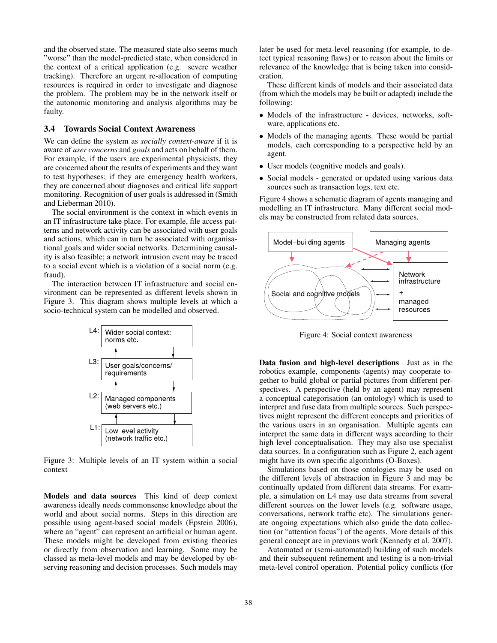and the observed state. The measured state also seems much "worse" than the model-predicted state, when considered in the context of a critical application (e.g. severe weather tracking). Therefore an urgent re-allocation of computing resources is required in order to investigate and diagnose the problem. The problem may be in the network itself or the autonomic monitoring and analysis algorithms may be faulty.

#### 3.4 Towards Social Context Awareness

We can define the system as *socially context-aware* if it is aware of *user concerns* and *goals* and acts on behalf of them. For example, if the users are experimental physicists, they are concerned about the results of experiments and they want to test hypotheses; if they are emergency health workers, they are concerned about diagnoses and critical life support monitoring. Recognition of user goals is addressed in (Smith and Lieberman 2010).

The social environment is the context in which events in an IT infrastructure take place. For example, file access patterns and network activity can be associated with user goals and actions, which can in turn be associated with organisational goals and wider social networks. Determining causality is also feasible; a network intrusion event may be traced to a social event which is a violation of a social norm (e.g. fraud).

The interaction between IT infrastructure and social environment can be represented as different levels shown in Figure 3. This diagram shows multiple levels at which a socio-technical system can be modelled and observed.



Figure 3: Multiple levels of an IT system within a social context

Models and data sources This kind of deep context awareness ideally needs commonsense knowledge about the world and about social norms. Steps in this direction are possible using agent-based social models (Epstein 2006), where an "agent" can represent an artificial or human agent. These models might be developed from existing theories or directly from observation and learning. Some may be classed as meta-level models and may be developed by observing reasoning and decision processes. Such models may

later be used for meta-level reasoning (for example, to detect typical reasoning flaws) or to reason about the limits or relevance of the knowledge that is being taken into consideration.

These different kinds of models and their associated data (from which the models may be built or adapted) include the following:

- Models of the infrastructure devices, networks, software, applications etc.
- Models of the managing agents. These would be partial models, each corresponding to a perspective held by an agent.
- User models (cognitive models and goals).
- Social models generated or updated using various data sources such as transaction logs, text etc.

Figure 4 shows a schematic diagram of agents managing and modelling an IT infrastructure. Many different social models may be constructed from related data sources.



Figure 4: Social context awareness

Data fusion and high-level descriptions Just as in the robotics example, components (agents) may cooperate together to build global or partial pictures from different perspectives. A perspective (held by an agent) may represent a conceptual categorisation (an ontology) which is used to interpret and fuse data from multiple sources. Such perspectives might represent the different concepts and priorities of the various users in an organisation. Multiple agents can interpret the same data in different ways according to their high level conceptualisation. They may also use specialist data sources. In a configuration such as Figure 2, each agent might have its own specific algorithms (O-Boxes).

Simulations based on those ontologies may be used on the different levels of abstraction in Figure 3 and may be continually updated from different data streams. For example, a simulation on L4 may use data streams from several different sources on the lower levels (e.g. software usage, conversations, network traffic etc). The simulations generate ongoing expectations which also guide the data collection (or "attention focus") of the agents. More details of this general concept are in previous work (Kennedy et al. 2007).

Automated or (semi-automated) building of such models and their subsequent refinement and testing is a non-trivial meta-level control operation. Potential policy conflicts (for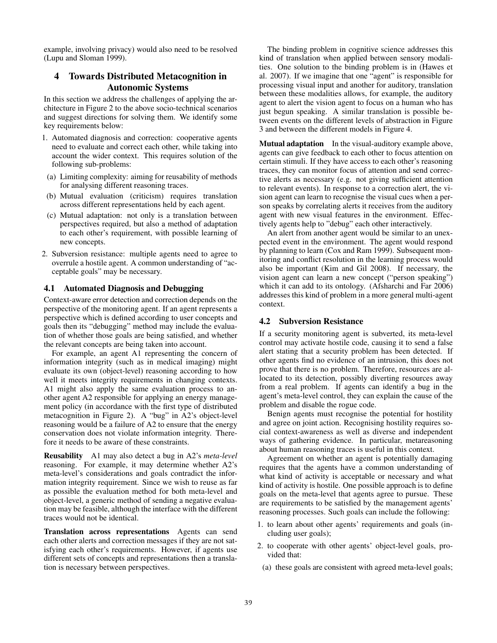example, involving privacy) would also need to be resolved (Lupu and Sloman 1999).

# 4 Towards Distributed Metacognition in Autonomic Systems

In this section we address the challenges of applying the architecture in Figure 2 to the above socio-technical scenarios and suggest directions for solving them. We identify some key requirements below:

- 1. Automated diagnosis and correction: cooperative agents need to evaluate and correct each other, while taking into account the wider context. This requires solution of the following sub-problems:
- (a) Limiting complexity: aiming for reusability of methods for analysing different reasoning traces.
- (b) Mutual evaluation (criticism) requires translation across different representations held by each agent.
- (c) Mutual adaptation: not only is a translation between perspectives required, but also a method of adaptation to each other's requirement, with possible learning of new concepts.
- 2. Subversion resistance: multiple agents need to agree to overrule a hostile agent. A common understanding of "acceptable goals" may be necessary.

## 4.1 Automated Diagnosis and Debugging

Context-aware error detection and correction depends on the perspective of the monitoring agent. If an agent represents a perspective which is defined according to user concepts and goals then its "debugging" method may include the evaluation of whether those goals are being satisfied, and whether the relevant concepts are being taken into account.

For example, an agent A1 representing the concern of information integrity (such as in medical imaging) might evaluate its own (object-level) reasoning according to how well it meets integrity requirements in changing contexts. A1 might also apply the same evaluation process to another agent A2 responsible for applying an energy management policy (in accordance with the first type of distributed metacognition in Figure 2). A "bug" in A2's object-level reasoning would be a failure of A2 to ensure that the energy conservation does not violate information integrity. Therefore it needs to be aware of these constraints.

Reusability A1 may also detect a bug in A2's *meta-level* reasoning. For example, it may determine whether A2's meta-level's considerations and goals contradict the information integrity requirement. Since we wish to reuse as far as possible the evaluation method for both meta-level and object-level, a generic method of sending a negative evaluation may be feasible, although the interface with the different traces would not be identical.

Translation across representations Agents can send each other alerts and correction messages if they are not satisfying each other's requirements. However, if agents use different sets of concepts and representations then a translation is necessary between perspectives.

The binding problem in cognitive science addresses this kind of translation when applied between sensory modalities. One solution to the binding problem is in (Hawes et al. 2007). If we imagine that one "agent" is responsible for processing visual input and another for auditory, translation between these modalities allows, for example, the auditory agent to alert the vision agent to focus on a human who has just begun speaking. A similar translation is possible between events on the different levels of abstraction in Figure 3 and between the different models in Figure 4.

Mutual adaptation In the visual-auditory example above, agents can give feedback to each other to focus attention on certain stimuli. If they have access to each other's reasoning traces, they can monitor focus of attention and send corrective alerts as necessary (e.g. not giving sufficient attention to relevant events). In response to a correction alert, the vision agent can learn to recognise the visual cues when a person speaks by correlating alerts it receives from the auditory agent with new visual features in the environment. Effectively agents help to "debug" each other interactively.

An alert from another agent would be similar to an unexpected event in the environment. The agent would respond by planning to learn (Cox and Ram 1999). Subsequent monitoring and conflict resolution in the learning process would also be important (Kim and Gil 2008). If necessary, the vision agent can learn a new concept ("person speaking") which it can add to its ontology. (Afsharchi and Far 2006) addresses this kind of problem in a more general multi-agent context.

#### 4.2 Subversion Resistance

If a security monitoring agent is subverted, its meta-level control may activate hostile code, causing it to send a false alert stating that a security problem has been detected. If other agents find no evidence of an intrusion, this does not prove that there is no problem. Therefore, resources are allocated to its detection, possibly diverting resources away from a real problem. If agents can identify a bug in the agent's meta-level control, they can explain the cause of the problem and disable the rogue code.

Benign agents must recognise the potential for hostility and agree on joint action. Recognising hostility requires social context-awareness as well as diverse and independent ways of gathering evidence. In particular, metareasoning about human reasoning traces is useful in this context.

Agreement on whether an agent is potentially damaging requires that the agents have a common understanding of what kind of activity is acceptable or necessary and what kind of activity is hostile. One possible approach is to define goals on the meta-level that agents agree to pursue. These are requirements to be satisfied by the management agents' reasoning processes. Such goals can include the following:

- 1. to learn about other agents' requirements and goals (including user goals);
- 2. to cooperate with other agents' object-level goals, provided that:
	- (a) these goals are consistent with agreed meta-level goals;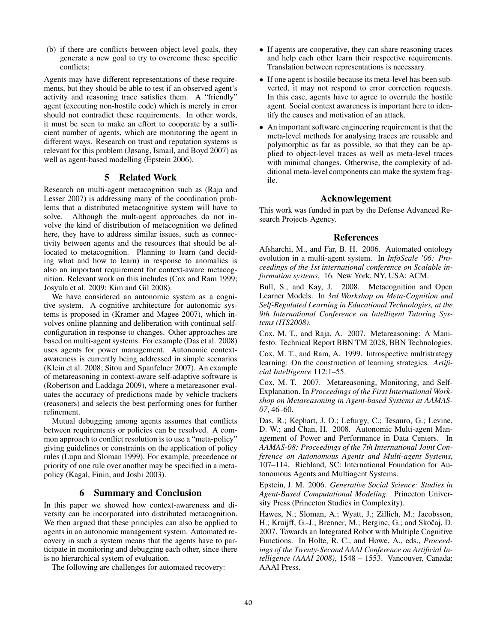(b) if there are conflicts between object-level goals, they generate a new goal to try to overcome these specific conflicts;

Agents may have different representations of these requirements, but they should be able to test if an observed agent's activity and reasoning trace satisfies them. A "friendly" agent (executing non-hostile code) which is merely in error should not contradict these requirements. In other words, it must be seen to make an effort to cooperate by a sufficient number of agents, which are monitoring the agent in different ways. Research on trust and reputation systems is relevant for this problem (Jøsang, Ismail, and Boyd 2007) as well as agent-based modelling (Epstein 2006).

## 5 Related Work

Research on multi-agent metacognition such as (Raja and Lesser 2007) is addressing many of the coordination problems that a distributed metacognitive system will have to solve. Although the mult-agent approaches do not involve the kind of distribution of metacognition we defined here, they have to address similar issues, such as connectivity between agents and the resources that should be allocated to metacognition. Planning to learn (and deciding what and how to learn) in response to anomalies is also an important requirement for context-aware metacognition. Relevant work on this includes (Cox and Ram 1999; Josyula et al. 2009; Kim and Gil 2008).

We have considered an autonomic system as a cognitive system. A cognitive architecture for autonomic systems is proposed in (Kramer and Magee 2007), which involves online planning and deliberation with continual selfconfiguration in response to changes. Other approaches are based on multi-agent systems. For example (Das et al. 2008) uses agents for power management. Autonomic contextawareness is currently being addressed in simple scenarios (Klein et al. 2008; Sitou and Spanfelner 2007). An example of metareasoning in context-aware self-adaptive software is (Robertson and Laddaga 2009), where a metareasoner evaluates the accuracy of predictions made by vehicle trackers (reasoners) and selects the best performing ones for further refinement.

Mutual debugging among agents assumes that conflicts between requirements or policies can be resolved. A common approach to conflict resolution is to use a "meta-policy" giving guidelines or constraints on the application of policy rules (Lupu and Sloman 1999). For example, precedence or priority of one rule over another may be specified in a metapolicy (Kagal, Finin, and Joshi 2003).

#### 6 Summary and Conclusion

In this paper we showed how context-awareness and diversity can be incorporated into distributed metacognition. We then argued that these principles can also be applied to agents in an autonomic management system. Automated recovery in such a system means that the agents have to participate in monitoring and debugging each other, since there is no hierarchical system of evaluation.

The following are challenges for automated recovery:

- If agents are cooperative, they can share reasoning traces and help each other learn their respective requirements. Translation between representations is necessary.
- If one agent is hostile because its meta-level has been subverted, it may not respond to error correction requests. In this case, agents have to agree to overrule the hostile agent. Social context awareness is important here to identify the causes and motivation of an attack.
- An important software engineering requirement is that the meta-level methods for analysing traces are reusable and polymorphic as far as possible, so that they can be applied to object-level traces as well as meta-level traces with minimal changes. Otherwise, the complexity of additional meta-level components can make the system fragile.

## Acknowlegement

This work was funded in part by the Defense Advanced Research Projects Agency.

#### References

Afsharchi, M., and Far, B. H. 2006. Automated ontology evolution in a multi-agent system. In *InfoScale '06: Proceedings of the 1st international conference on Scalable information systems*, 16. New York, NY, USA: ACM.

Bull, S., and Kay, J. 2008. Metacognition and Open Learner Models. In *3rd Workshop on Meta-Cognition and Self-Regulated Learning in Educational Technologies, at the 9th International Conference on Intelligent Tutoring Systems (ITS2008)*.

Cox, M. T., and Raja, A. 2007. Metareasoning: A Manifesto. Technical Report BBN TM 2028, BBN Technologies.

Cox, M. T., and Ram, A. 1999. Introspective multistrategy learning: On the construction of learning strategies. *Artificial Intelligence* 112:1–55.

Cox, M. T. 2007. Metareasoning, Monitoring, and Self-Explanation. In *Proceedings of the First International Workshop on Metareasoning in Agent-based Systems at AAMAS-07*, 46–60.

Das, R.; Kephart, J. O.; Lefurgy, C.; Tesauro, G.; Levine, D. W.; and Chan, H. 2008. Autonomic Multi-agent Management of Power and Performance in Data Centers. In *AAMAS-08: Proceedings of the 7th International Joint Conference on Autonomous Agents and Multi-agent Systems*, 107–114. Richland, SC: International Foundation for Autonomous Agents and Multiagent Systems.

Epstein, J. M. 2006. *Generative Social Science: Studies in Agent-Based Computational Modeling*. Princeton University Press (Princeton Studies in Complexity).

Hawes, N.; Sloman, A.; Wyatt, J.; Zillich, M.; Jacobsson, H.; Kruijff, G.-J.; Brenner, M.; Berginc, G.; and Skočaj, D. 2007. Towards an Integrated Robot with Multiple Cognitive Functions. In Holte, R. C., and Howe, A., eds., *Proceedings of the Twenty-Second AAAI Conference on Artificial Intelligence (AAAI 2008)*, 1548 – 1553. Vancouver, Canada: AAAI Press.